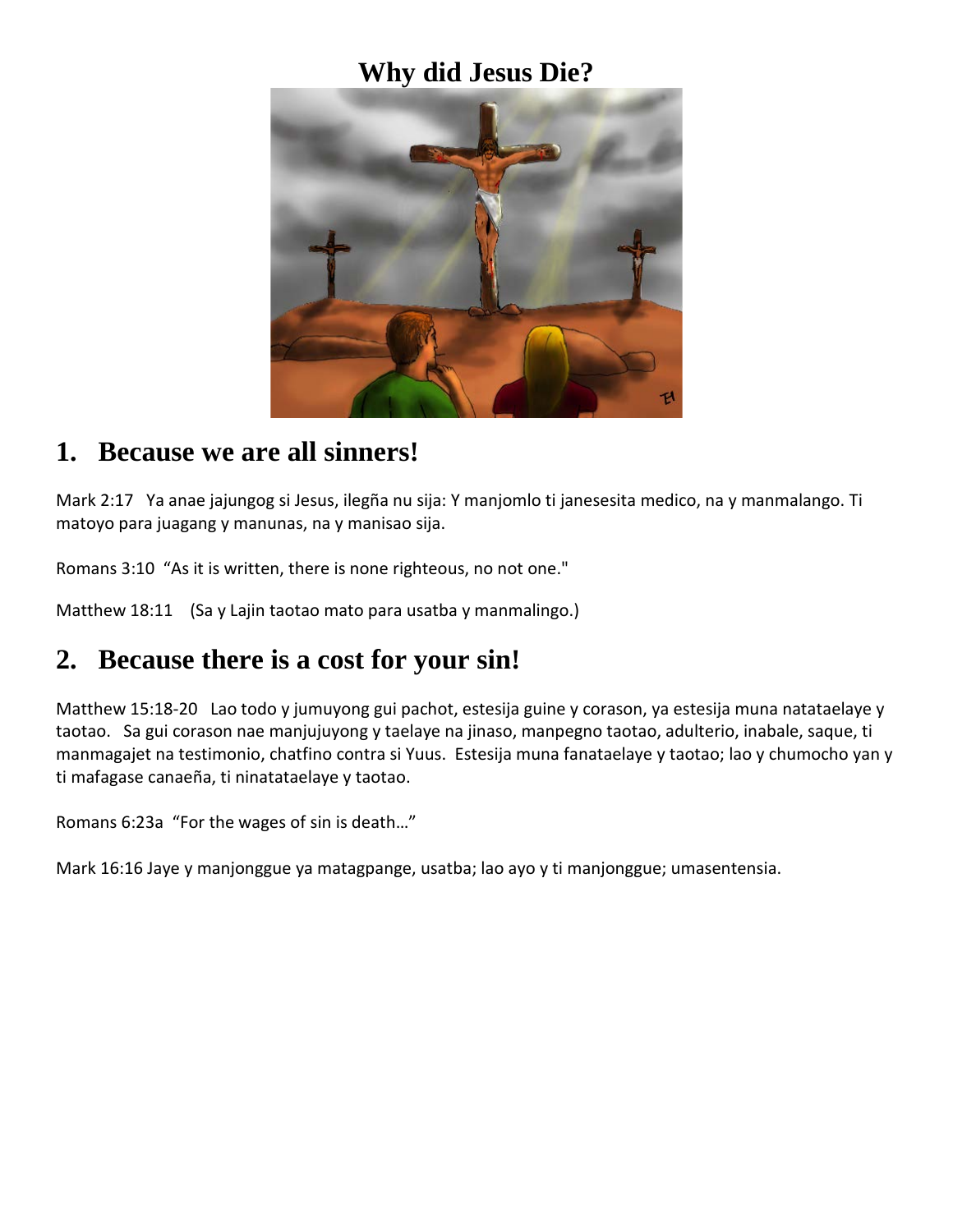### **Why did Jesus Die?**



#### **1. Because we are all sinners!**

Mark 2:17 Ya anae jajungog si Jesus, ilegña nu sija: Y manjomlo ti janesesita medico, na y manmalango. Ti matoyo para juagang y manunas, na y manisao sija.

Romans 3:10 "As it is written, there is none righteous, no not one."

Matthew 18:11 (Sa y Lajin taotao mato para usatba y manmalingo.)

# **2. Because there is a cost for your sin!**

Matthew 15:18-20 Lao todo y jumuyong gui pachot, estesija guine y corason, ya estesija muna natataelaye y taotao. Sa gui corason nae manjujuyong y taelaye na jinaso, manpegno taotao, adulterio, inabale, saque, ti manmagajet na testimonio, chatfino contra si Yuus. Estesija muna fanataelaye y taotao; lao y chumocho yan y ti mafagase canaeña, ti ninatataelaye y taotao.

Romans 6:23a "For the wages of sin is death…"

Mark 16:16 Jaye y manjonggue ya matagpange, usatba; lao ayo y ti manjonggue; umasentensia.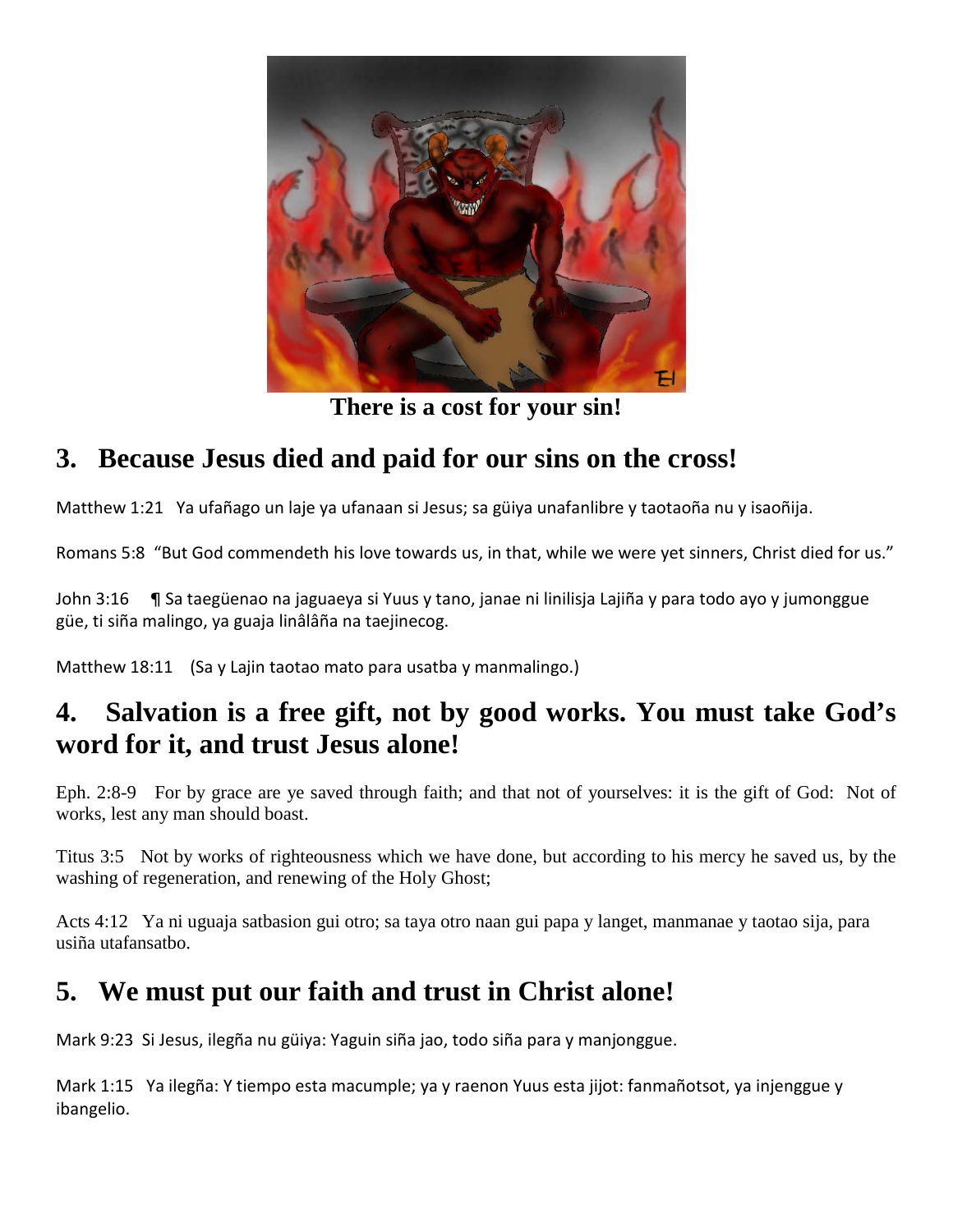

**There is a cost for your sin!**

# **3. Because Jesus died and paid for our sins on the cross!**

Matthew 1:21 Ya ufañago un laje ya ufanaan si Jesus; sa güiya unafanlibre y taotaoña nu y isaoñija.

Romans 5:8 "But God commendeth his love towards us, in that, while we were yet sinners, Christ died for us."

John 3:16 ¶ Sa taegüenao na jaguaeya si Yuus y tano, janae ni linilisja Lajiña y para todo ayo y jumonggue güe, ti siña malingo, ya guaja linâlâña na taejinecog.

Matthew 18:11 (Sa y Lajin taotao mato para usatba y manmalingo.)

### **4. Salvation is a free gift, not by good works. You must take God's word for it, and trust Jesus alone!**

Eph. 2:8-9 For by grace are ye saved through faith; and that not of yourselves: it is the gift of God: Not of works, lest any man should boast.

Titus 3:5 Not by works of righteousness which we have done, but according to his mercy he saved us, by the washing of regeneration, and renewing of the Holy Ghost;

Acts 4:12 Ya ni uguaja satbasion gui otro; sa taya otro naan gui papa y langet, manmanae y taotao sija, para usiña utafansatbo.

### **5. We must put our faith and trust in Christ alone!**

Mark 9:23 Si Jesus, ilegña nu güiya: Yaguin siña jao, todo siña para y manjonggue.

Mark 1:15 Ya ilegña: Y tiempo esta macumple; ya y raenon Yuus esta jijot: fanmañotsot, ya injenggue y ibangelio.